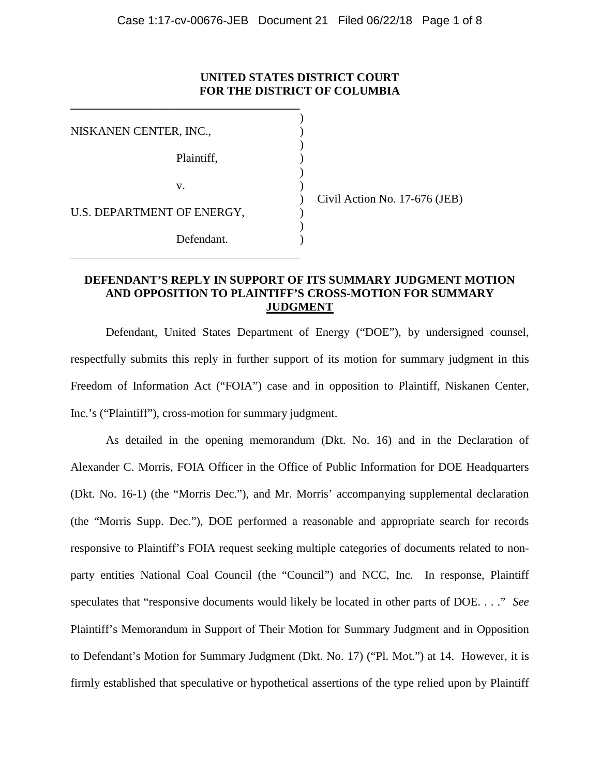## **UNITED STATES DISTRICT COURT FOR THE DISTRICT OF COLUMBIA**

)

)

)

| NISKANEN CENTER, INC.,     |            |  |
|----------------------------|------------|--|
|                            | Plaintiff, |  |
|                            | V.         |  |
| U.S. DEPARTMENT OF ENERGY, |            |  |
|                            | Defendant. |  |

**\_\_\_\_\_\_\_\_\_\_\_\_\_\_\_\_\_\_\_\_\_\_\_\_\_\_\_\_\_\_\_\_\_\_\_\_\_\_\_**

) Civil Action No. 17-676 (JEB)

# **DEFENDANT'S REPLY IN SUPPORT OF ITS SUMMARY JUDGMENT MOTION AND OPPOSITION TO PLAINTIFF'S CROSS-MOTION FOR SUMMARY JUDGMENT**

Defendant, United States Department of Energy ("DOE"), by undersigned counsel, respectfully submits this reply in further support of its motion for summary judgment in this Freedom of Information Act ("FOIA") case and in opposition to Plaintiff, Niskanen Center, Inc.'s ("Plaintiff"), cross-motion for summary judgment.

As detailed in the opening memorandum (Dkt. No. 16) and in the Declaration of Alexander C. Morris, FOIA Officer in the Office of Public Information for DOE Headquarters (Dkt. No. 16-1) (the "Morris Dec."), and Mr. Morris' accompanying supplemental declaration (the "Morris Supp. Dec."), DOE performed a reasonable and appropriate search for records responsive to Plaintiff's FOIA request seeking multiple categories of documents related to nonparty entities National Coal Council (the "Council") and NCC, Inc. In response, Plaintiff speculates that "responsive documents would likely be located in other parts of DOE. . . ." *See*  Plaintiff's Memorandum in Support of Their Motion for Summary Judgment and in Opposition to Defendant's Motion for Summary Judgment (Dkt. No. 17) ("Pl. Mot.") at 14. However, it is firmly established that speculative or hypothetical assertions of the type relied upon by Plaintiff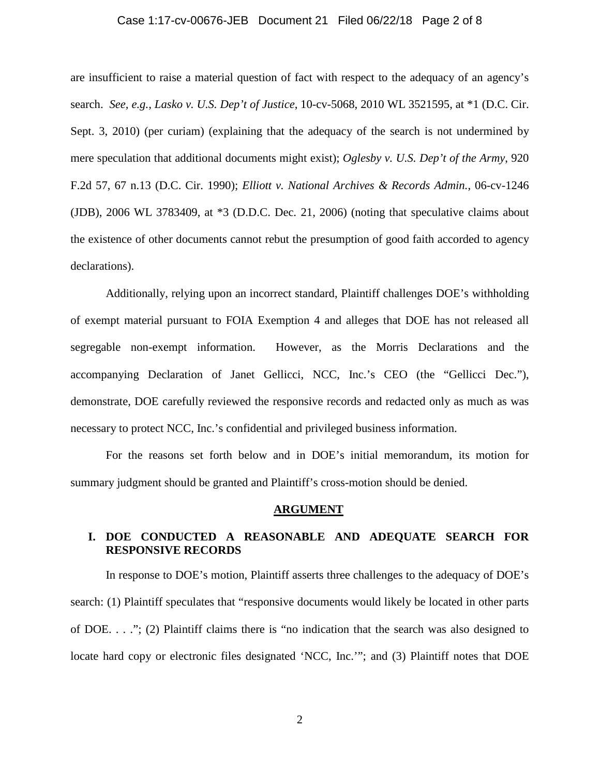## Case 1:17-cv-00676-JEB Document 21 Filed 06/22/18 Page 2 of 8

are insufficient to raise a material question of fact with respect to the adequacy of an agency's search. *See, e.g., Lasko v. U.S. Dep't of Justice*, 10-cv-5068, 2010 WL 3521595, at \*1 (D.C. Cir. Sept. 3, 2010) (per curiam) (explaining that the adequacy of the search is not undermined by mere speculation that additional documents might exist); *Oglesby v. U.S. Dep't of the Army*, 920 F.2d 57, 67 n.13 (D.C. Cir. 1990); *Elliott v. National Archives & Records Admin.*, 06-cv-1246 (JDB), 2006 WL 3783409, at \*3 (D.D.C. Dec. 21, 2006) (noting that speculative claims about the existence of other documents cannot rebut the presumption of good faith accorded to agency declarations).

Additionally, relying upon an incorrect standard, Plaintiff challenges DOE's withholding of exempt material pursuant to FOIA Exemption 4 and alleges that DOE has not released all segregable non-exempt information. However, as the Morris Declarations and the accompanying Declaration of Janet Gellicci, NCC, Inc.'s CEO (the "Gellicci Dec."), demonstrate, DOE carefully reviewed the responsive records and redacted only as much as was necessary to protect NCC, Inc.'s confidential and privileged business information.

For the reasons set forth below and in DOE's initial memorandum, its motion for summary judgment should be granted and Plaintiff's cross-motion should be denied.

#### **ARGUMENT**

# **I. DOE CONDUCTED A REASONABLE AND ADEQUATE SEARCH FOR RESPONSIVE RECORDS**

In response to DOE's motion, Plaintiff asserts three challenges to the adequacy of DOE's search: (1) Plaintiff speculates that "responsive documents would likely be located in other parts of DOE. . . ."; (2) Plaintiff claims there is "no indication that the search was also designed to locate hard copy or electronic files designated 'NCC, Inc.'"; and (3) Plaintiff notes that DOE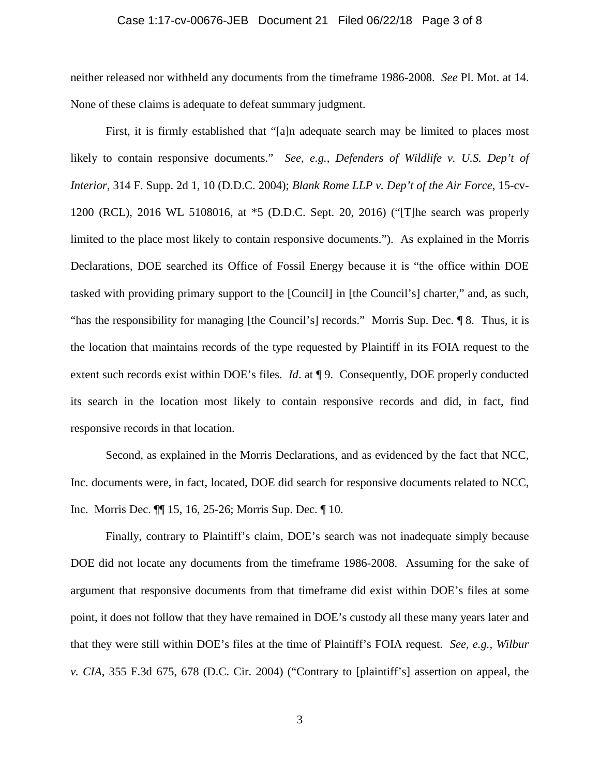### Case 1:17-cv-00676-JEB Document 21 Filed 06/22/18 Page 3 of 8

neither released nor withheld any documents from the timeframe 1986-2008. *See* Pl. Mot. at 14. None of these claims is adequate to defeat summary judgment.

First, it is firmly established that "[a]n adequate search may be limited to places most likely to contain responsive documents." *See*, *e.g.*, *Defenders of Wildlife v. U.S. Dep't of Interior*, 314 F. Supp. 2d 1, 10 (D.D.C. 2004); *Blank Rome LLP v. Dep't of the Air Force*, 15-cv-1200 (RCL), 2016 WL 5108016, at \*5 (D.D.C. Sept. 20, 2016) ("[T]he search was properly limited to the place most likely to contain responsive documents."). As explained in the Morris Declarations, DOE searched its Office of Fossil Energy because it is "the office within DOE tasked with providing primary support to the [Council] in [the Council's] charter," and, as such, "has the responsibility for managing [the Council's] records." Morris Sup. Dec. ¶ 8. Thus, it is the location that maintains records of the type requested by Plaintiff in its FOIA request to the extent such records exist within DOE's files. *Id*. at ¶ 9. Consequently, DOE properly conducted its search in the location most likely to contain responsive records and did, in fact, find responsive records in that location.

Second, as explained in the Morris Declarations, and as evidenced by the fact that NCC, Inc. documents were, in fact, located, DOE did search for responsive documents related to NCC, Inc. Morris Dec. ¶¶ 15, 16, 25-26; Morris Sup. Dec. ¶ 10.

Finally, contrary to Plaintiff's claim, DOE's search was not inadequate simply because DOE did not locate any documents from the timeframe 1986-2008. Assuming for the sake of argument that responsive documents from that timeframe did exist within DOE's files at some point, it does not follow that they have remained in DOE's custody all these many years later and that they were still within DOE's files at the time of Plaintiff's FOIA request. *See, e.g., Wilbur v. CIA*, 355 F.3d 675, 678 (D.C. Cir. 2004) ("Contrary to [plaintiff's] assertion on appeal, the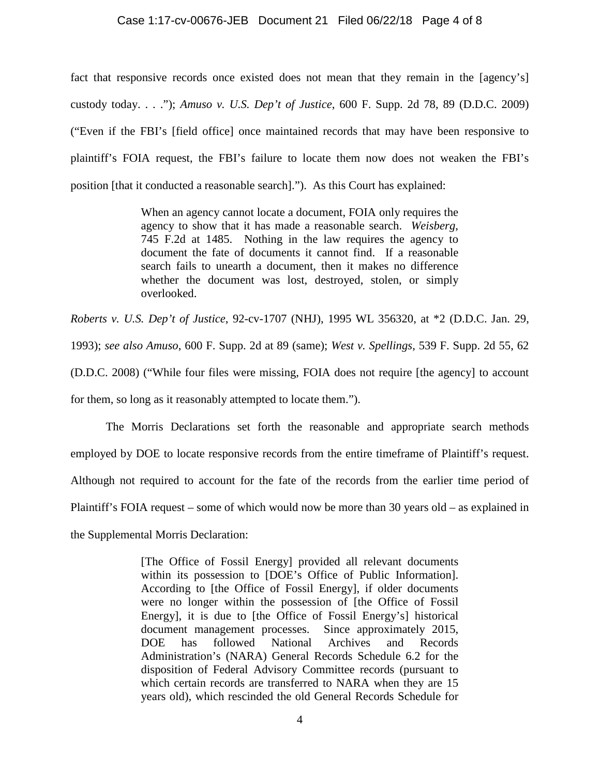### Case 1:17-cv-00676-JEB Document 21 Filed 06/22/18 Page 4 of 8

fact that responsive records once existed does not mean that they remain in the [agency's] custody today. . . ."); *Amuso v. U.S. Dep't of Justice*, 600 F. Supp. 2d 78, 89 (D.D.C. 2009) ("Even if the FBI's [field office] once maintained records that may have been responsive to plaintiff's FOIA request, the FBI's failure to locate them now does not weaken the FBI's position [that it conducted a reasonable search]."). As this Court has explained:

> When an agency cannot locate a document, FOIA only requires the agency to show that it has made a reasonable search. *Weisberg*, 745 F.2d at 1485. Nothing in the law requires the agency to document the fate of documents it cannot find. If a reasonable search fails to unearth a document, then it makes no difference whether the document was lost, destroyed, stolen, or simply overlooked.

*Roberts v. U.S. Dep't of Justice*, 92-cv-1707 (NHJ), 1995 WL 356320, at \*2 (D.D.C. Jan. 29, 1993); *see also Amuso*, 600 F. Supp. 2d at 89 (same); *West v. Spellings*, 539 F. Supp. 2d 55, 62 (D.D.C. 2008) ("While four files were missing, FOIA does not require [the agency] to account for them, so long as it reasonably attempted to locate them.").

The Morris Declarations set forth the reasonable and appropriate search methods employed by DOE to locate responsive records from the entire timeframe of Plaintiff's request. Although not required to account for the fate of the records from the earlier time period of Plaintiff's FOIA request – some of which would now be more than 30 years old – as explained in the Supplemental Morris Declaration:

> [The Office of Fossil Energy] provided all relevant documents within its possession to [DOE's Office of Public Information]. According to [the Office of Fossil Energy], if older documents were no longer within the possession of [the Office of Fossil Energy], it is due to [the Office of Fossil Energy's] historical document management processes. Since approximately 2015, DOE has followed National Archives and Records Administration's (NARA) General Records Schedule 6.2 for the disposition of Federal Advisory Committee records (pursuant to which certain records are transferred to NARA when they are 15 years old), which rescinded the old General Records Schedule for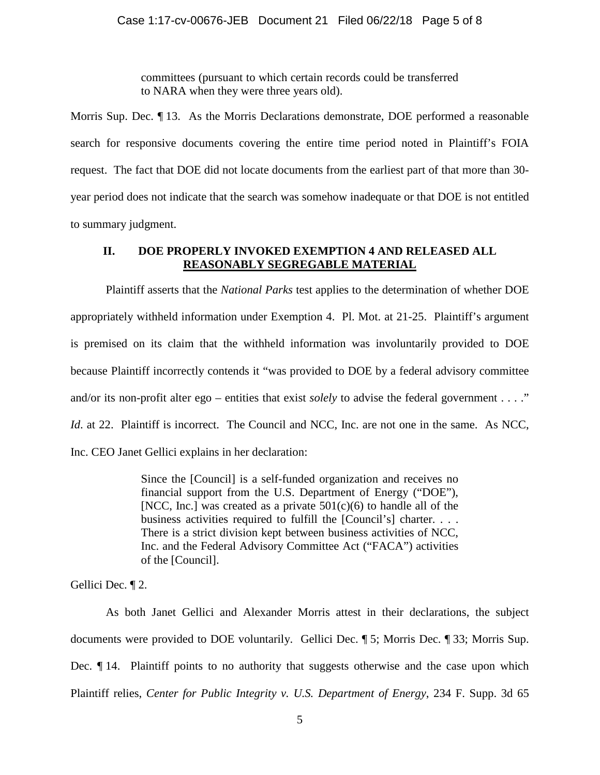committees (pursuant to which certain records could be transferred to NARA when they were three years old).

Morris Sup. Dec. ¶ 13. As the Morris Declarations demonstrate, DOE performed a reasonable search for responsive documents covering the entire time period noted in Plaintiff's FOIA request. The fact that DOE did not locate documents from the earliest part of that more than 30 year period does not indicate that the search was somehow inadequate or that DOE is not entitled to summary judgment.

# **II. DOE PROPERLY INVOKED EXEMPTION 4 AND RELEASED ALL REASONABLY SEGREGABLE MATERIAL**

Plaintiff asserts that the *National Parks* test applies to the determination of whether DOE appropriately withheld information under Exemption 4. Pl. Mot. at 21-25. Plaintiff's argument is premised on its claim that the withheld information was involuntarily provided to DOE because Plaintiff incorrectly contends it "was provided to DOE by a federal advisory committee and/or its non-profit alter ego – entities that exist *solely* to advise the federal government . . . ." *Id.* at 22. Plaintiff is incorrect. The Council and NCC, Inc. are not one in the same. As NCC, Inc. CEO Janet Gellici explains in her declaration:

> Since the [Council] is a self-funded organization and receives no financial support from the U.S. Department of Energy ("DOE"), [NCC, Inc.] was created as a private  $501(c)(6)$  to handle all of the business activities required to fulfill the [Council's] charter. . . . There is a strict division kept between business activities of NCC, Inc. and the Federal Advisory Committee Act ("FACA") activities of the [Council].

Gellici Dec. ¶ 2.

As both Janet Gellici and Alexander Morris attest in their declarations, the subject documents were provided to DOE voluntarily. Gellici Dec. ¶ 5; Morris Dec. ¶ 33; Morris Sup. Dec. ¶ 14. Plaintiff points to no authority that suggests otherwise and the case upon which Plaintiff relies, *Center for Public Integrity v. U.S. Department of Energy*, 234 F. Supp. 3d 65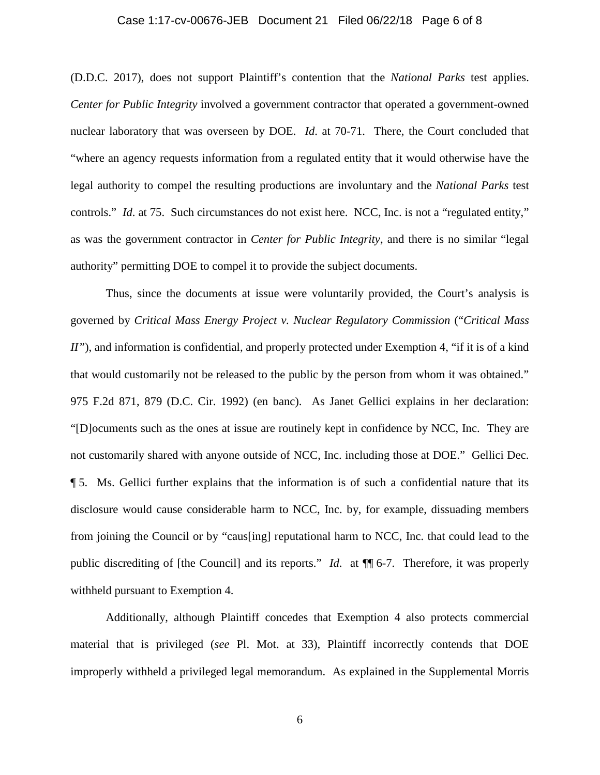### Case 1:17-cv-00676-JEB Document 21 Filed 06/22/18 Page 6 of 8

(D.D.C. 2017), does not support Plaintiff's contention that the *National Parks* test applies. *Center for Public Integrity* involved a government contractor that operated a government-owned nuclear laboratory that was overseen by DOE. *Id*. at 70-71. There, the Court concluded that "where an agency requests information from a regulated entity that it would otherwise have the legal authority to compel the resulting productions are involuntary and the *National Parks* test controls." *Id.* at 75. Such circumstances do not exist here. NCC, Inc. is not a "regulated entity," as was the government contractor in *Center for Public Integrity*, and there is no similar "legal authority" permitting DOE to compel it to provide the subject documents.

Thus, since the documents at issue were voluntarily provided, the Court's analysis is governed by *Critical Mass Energy Project v. Nuclear Regulatory Commission* ("*Critical Mass II"*), and information is confidential, and properly protected under Exemption 4, "if it is of a kind that would customarily not be released to the public by the person from whom it was obtained." 975 F.2d 871, 879 (D.C. Cir. 1992) (en banc). As Janet Gellici explains in her declaration: "[D]ocuments such as the ones at issue are routinely kept in confidence by NCC, Inc. They are not customarily shared with anyone outside of NCC, Inc. including those at DOE." Gellici Dec. ¶ 5. Ms. Gellici further explains that the information is of such a confidential nature that its disclosure would cause considerable harm to NCC, Inc. by, for example, dissuading members from joining the Council or by "caus[ing] reputational harm to NCC, Inc. that could lead to the public discrediting of [the Council] and its reports." *Id*. at ¶¶ 6-7. Therefore, it was properly withheld pursuant to Exemption 4.

Additionally, although Plaintiff concedes that Exemption 4 also protects commercial material that is privileged (*see* Pl. Mot. at 33), Plaintiff incorrectly contends that DOE improperly withheld a privileged legal memorandum. As explained in the Supplemental Morris

6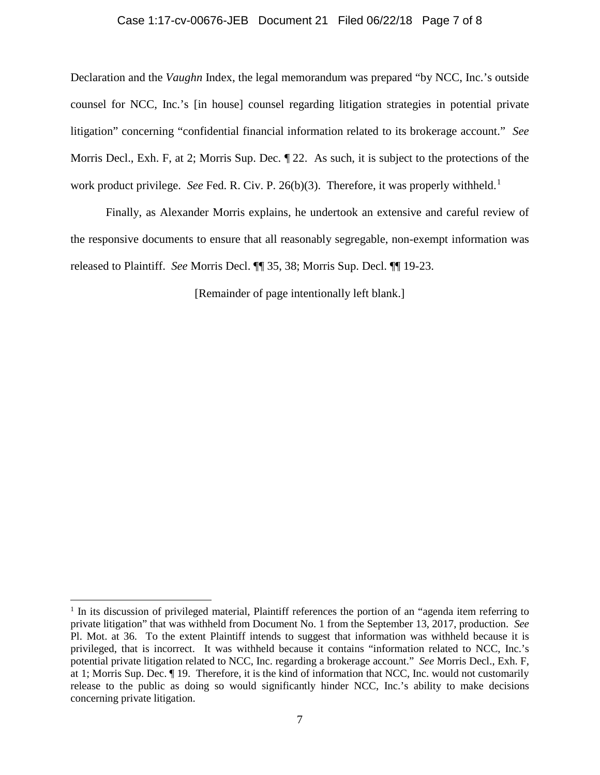#### Case 1:17-cv-00676-JEB Document 21 Filed 06/22/18 Page 7 of 8

Declaration and the *Vaughn* Index, the legal memorandum was prepared "by NCC, Inc.'s outside counsel for NCC, Inc.'s [in house] counsel regarding litigation strategies in potential private litigation" concerning "confidential financial information related to its brokerage account." *See*  Morris Decl., Exh. F, at 2; Morris Sup. Dec. ¶ 22. As such, it is subject to the protections of the work product privilege. *See* Fed. R. Civ. P. 26(b)(3). Therefore, it was properly withheld.<sup>[1](#page-6-0)</sup>

Finally, as Alexander Morris explains, he undertook an extensive and careful review of the responsive documents to ensure that all reasonably segregable, non-exempt information was released to Plaintiff. *See* Morris Decl. ¶¶ 35, 38; Morris Sup. Decl. ¶¶ 19-23.

[Remainder of page intentionally left blank.]

<span id="page-6-0"></span> $1$  In its discussion of privileged material, Plaintiff references the portion of an "agenda item referring to private litigation" that was withheld from Document No. 1 from the September 13, 2017, production. *See*  Pl. Mot. at 36. To the extent Plaintiff intends to suggest that information was withheld because it is privileged, that is incorrect. It was withheld because it contains "information related to NCC, Inc.'s potential private litigation related to NCC, Inc. regarding a brokerage account." *See* Morris Decl., Exh. F, at 1; Morris Sup. Dec. ¶ 19. Therefore, it is the kind of information that NCC, Inc. would not customarily release to the public as doing so would significantly hinder NCC, Inc.'s ability to make decisions concerning private litigation.